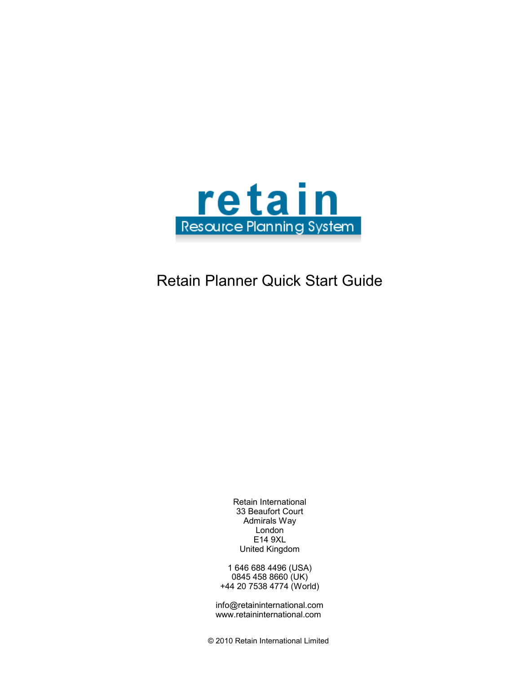

# Retain Planner Quick Start Guide

Retain International 33 Beaufort Court Admirals Way London E14 9XL United Kingdom

1 646 688 4496 (USA) 0845 458 8660 (UK) +44 20 7538 4774 (World)

info@retaininternational.com www.retaininternational.com

© 2010 Retain International Limited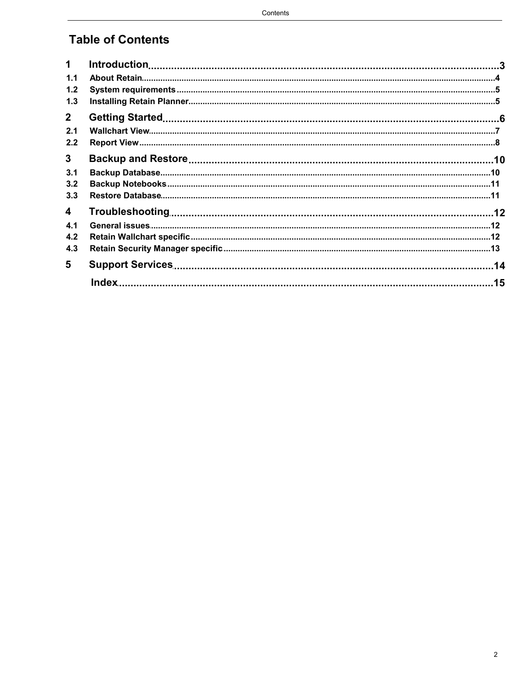## **Table of Contents**

| $\mathbf 1$             |  |
|-------------------------|--|
| 1.1                     |  |
| 1.2                     |  |
| 1.3                     |  |
| $\mathbf{2}$            |  |
| 2.1                     |  |
| 2.2                     |  |
| 3                       |  |
| 3.1                     |  |
| 3.2                     |  |
| 3.3                     |  |
| $\overline{\mathbf{4}}$ |  |
| 4.1                     |  |
| 4.2                     |  |
| 4.3                     |  |
| 5                       |  |
|                         |  |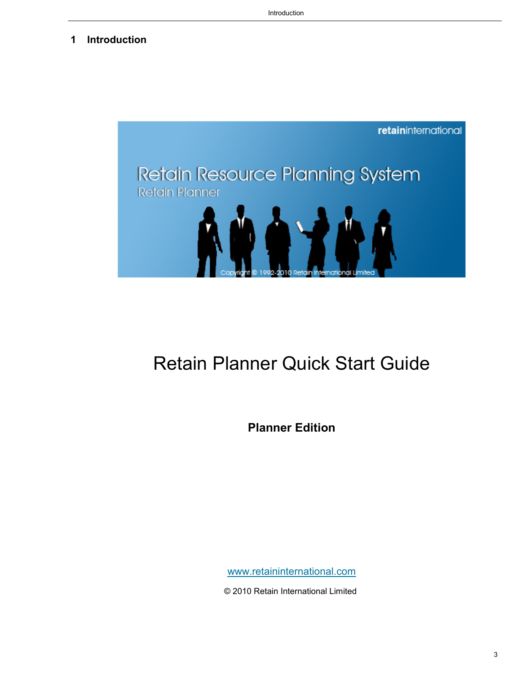### <span id="page-2-0"></span>**1 Introduction**



# Retain Planner Quick Start Guide

**Planner Edition**

[www.retaininternational.com](http://www.retaininternational.com)

© 2010 Retain International Limited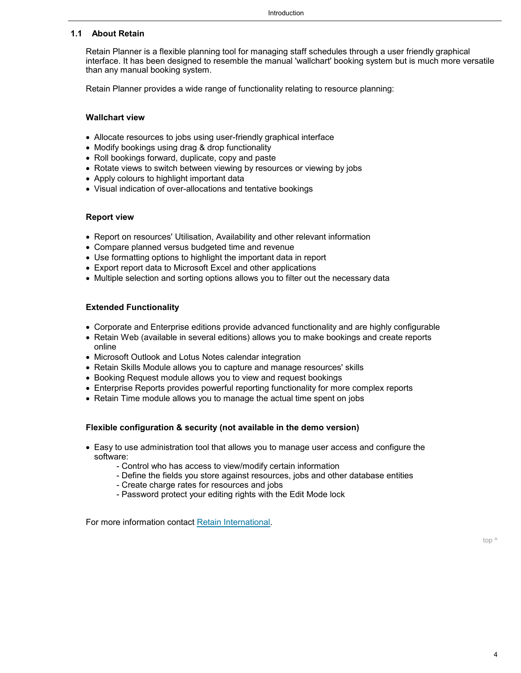### <span id="page-3-0"></span>**1.1 About Retain**

Retain Planner is a flexible planning tool for managing staff schedules through a user friendly graphical interface. It has been designed to resemble the manual 'wallchart' booking system but is much more versatile than any manual booking system.

Retain Planner provides a wide range of functionality relating to resource planning:

### **Wallchart view**

- Allocate resources to jobs using user-friendly graphical interface
- Modify bookings using drag & drop functionality
- Roll bookings forward, duplicate, copy and paste
- Rotate views to switch between viewing by resources or viewing by jobs
- Apply colours to highlight important data
- Visual indication of over-allocations and tentative bookings

### **Report view**

- Report on resources' Utilisation, Availability and other relevant information
- Compare planned versus budgeted time and revenue
- Use formatting options to highlight the important data in report
- Export report data to Microsoft Excel and other applications
- Multiple selection and sorting options allows you to filter out the necessary data

### **Extended Functionality**

- Corporate and Enterprise editions provide advanced functionality and are highly configurable
- Retain Web (available in several editions) allows you to make bookings and create reports online
- Microsoft Outlook and Lotus Notes calendar integration
- Retain Skills Module allows you to capture and manage resources' skills
- Booking Request module allows you to view and request bookings
- Enterprise Reports provides powerful reporting functionality for more complex reports
- Retain Time module allows you to manage the actual time spent on jobs

### **Flexible configuration & security (not available in the demo version)**

- Easy to use administration tool that allows you to manage user access and configure the software:
	- Control who has access to view/modify certain information
	- Define the fields you store against resources, jobs and other database entities
	- Create charge rates for resources and jobs
	- Password protect your editing rights with the Edit Mode lock

For more information contact [Retain International.](#page-13-0)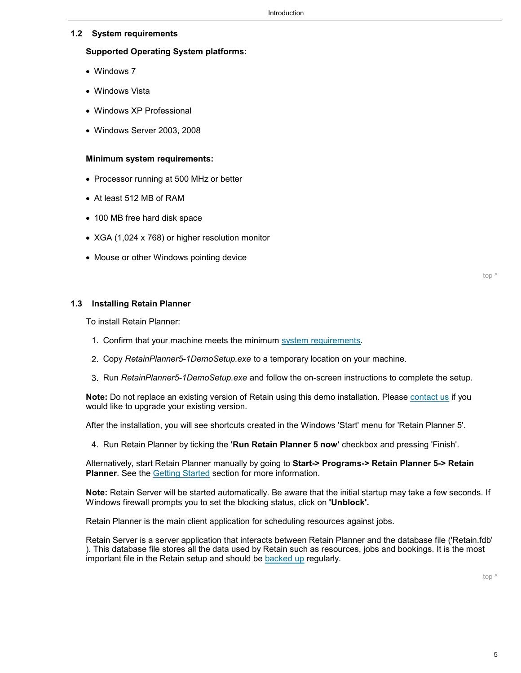### <span id="page-4-0"></span>**1.2 System requirements**

### **Supported Operating System platforms:**

- Windows 7
- Windows Vista
- Windows XP Professional
- Windows Server 2003, 2008

### **Minimum system requirements:**

- Processor running at 500 MHz or better
- At least 512 MB of RAM
- 100 MB free hard disk space
- XGA (1,024 x 768) or higher resolution monitor
- Mouse or other Windows pointing device

[top ^](#page-4-0)

### <span id="page-4-1"></span>**1.3 Installing Retain Planner**

To install Retain Planner:

- 1. Confirm that your machine meets the minimum [system requirements.](#page-4-0)
- 2. Copy *RetainPlanner5-1DemoSetup.exe* to a temporary location on your machine.
- 3. Run *RetainPlanner5-1DemoSetup.exe* and follow the on-screen instructions to complete the setup.

**Note:** Do not replace an existing version of Retain using this demo installation. Please [contact us](#page-13-0) if you would like to upgrade your existing version.

After the installation, you will see shortcuts created in the Windows 'Start' menu for 'Retain Planner 5'.

4. Run Retain Planner by ticking the **'Run Retain Planner 5 now'** checkbox and pressing 'Finish'.

Alternatively, start Retain Planner manually by going to **Start-> Programs-> Retain Planner 5-> Retain Planner**. See the [Getting Started](#page-5-0) section for more information.

**Note:** Retain Server will be started automatically. Be aware that the initial startup may take a few seconds. If Windows firewall prompts you to set the blocking status, click on **'Unblock'.**

Retain Planner is the main client application for scheduling resources against jobs.

Retain Server is a server application that interacts between Retain Planner and the database file ('Retain.fdb' ). This database file stores all the data used by Retain such as resources, jobs and bookings. It is the most important file in the Retain setup and should be [backed up](#page-9-0) regularly.

[top ^](#page-4-1)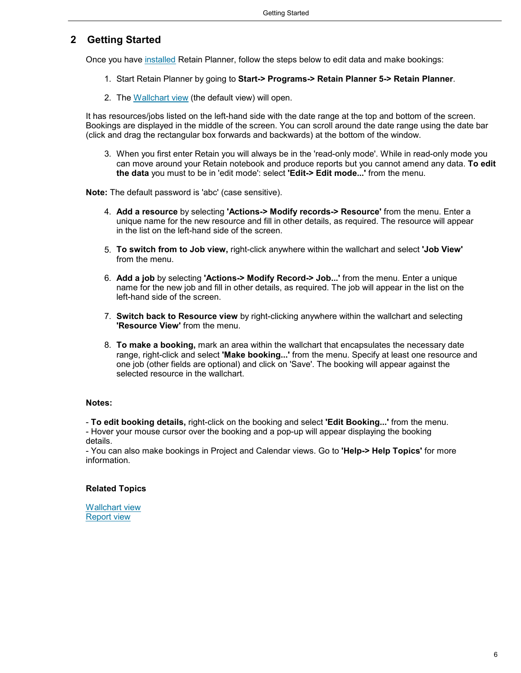### <span id="page-5-0"></span>**2 Getting Started**

Once you have [installed](#page-4-1) Retain Planner, follow the steps below to edit data and make bookings:

- 1. Start Retain Planner by going to **Start-> Programs-> Retain Planner 5-> Retain Planner**.
- 2. The [Wallchart view](#page-6-0) (the default view) will open.

It has resources/jobs listed on the left-hand side with the date range at the top and bottom of the screen. Bookings are displayed in the middle of the screen. You can scroll around the date range using the date bar (click and drag the rectangular box forwards and backwards) at the bottom of the window.

3. When you first enter Retain you will always be in the 'read-only mode'. While in read-only mode you can move around your Retain notebook and produce reports but you cannot amend any data. **To edit the data** you must to be in 'edit mode': select **'Edit-> Edit mode...'** from the menu.

**Note:** The default password is 'abc' (case sensitive).

- 4. **Add a resource** by selecting **'Actions-> Modify records-> Resource'** from the menu. Enter a unique name for the new resource and fill in other details, as required. The resource will appear in the list on the left-hand side of the screen.
- 5. **To switch from to Job view,** right-click anywhere within the wallchart and select **'Job View'** from the menu.
- 6. **Add a job** by selecting **'Actions-> Modify Record-> Job...'** from the menu. Enter a unique name for the new job and fill in other details, as required. The job will appear in the list on the left-hand side of the screen.
- 7. **Switch back to Resource view** by right-clicking anywhere within the wallchart and selecting **'Resource View'** from the menu.
- 8. **To make a booking,** mark an area within the wallchart that encapsulates the necessary date range, right-click and select **'Make booking...'** from the menu. Specify at least one resource and one job (other fields are optional) and click on 'Save'. The booking will appear against the selected resource in the wallchart.

### **Notes:**

- **To edit booking details,** right-click on the booking and select **'Edit Booking...'** from the menu.

- Hover your mouse cursor over the booking and a pop-up will appear displaying the booking details.

- You can also make bookings in Project and Calendar views. Go to **'Help-> Help Topics'** for more information.

### **Related Topics**

[Wallchart view](#page-6-0) [Report view](#page-7-0)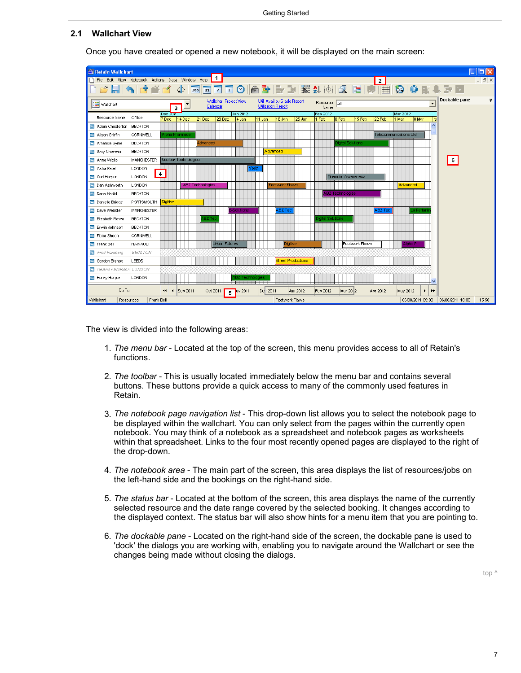### <span id="page-6-0"></span>**2.1 Wallchart View**

| Retain Wallchart                                 |                   |                                          |                         |                                    |                   |                                                         |                           |                      |                                   |                |                                   |                                          | п                   |
|--------------------------------------------------|-------------------|------------------------------------------|-------------------------|------------------------------------|-------------------|---------------------------------------------------------|---------------------------|----------------------|-----------------------------------|----------------|-----------------------------------|------------------------------------------|---------------------|
| File Edit View Notebook Actions Data Window Help |                   |                                          |                         | $\vert$ 1                          |                   |                                                         |                           |                      |                                   | 2 <sup>1</sup> |                                   |                                          | $ \bar{$ } $\times$ |
| 6HADYA                                           |                   |                                          | $\Phi$                  |                                    |                   |                                                         |                           |                      | <b>SSED DO A FEMILE A SECTION</b> |                |                                   | $\bullet$ E a $\bullet$                  |                     |
| iH Wallchart                                     |                   |                                          | 3                       | Wallchart Project View<br>Calendar |                   | Util Avail by Grade Report<br><b>Utilisation Report</b> |                           | Resource All<br>Name |                                   |                |                                   | Dockable pane<br>$\overline{ }$          | v                   |
| Resource Name                                    | Office            | Dec zum<br>7 Dec                         | 14 Dec                  | 28 Dec<br>21 Dec                   | Jan 2012<br>4 Jan | 11 Jan<br>18 Jan                                        | 25 Jan                    | Feb 2012<br>1 Feb    | 8 Feb<br>15 Feb                   | 22 Feb         | Mar 2012<br>8 Mar<br>11 Mar       | l1a                                      |                     |
| Adam Chesterton                                  | <b>BECKTON</b>    |                                          |                         |                                    |                   |                                                         |                           |                      |                                   |                |                                   | ∧                                        |                     |
| Alison Griffin                                   | CORNWELL          |                                          | lpha Pharmace           |                                    |                   |                                                         |                           |                      |                                   |                | Telecommunications Ltd            |                                          |                     |
| Amanda Syme                                      | <b>BECKTON</b>    |                                          |                         | Advanced                           |                   |                                                         |                           |                      | iaital Solutions                  |                |                                   |                                          |                     |
| Amy Cherwin                                      | <b>BECKTON</b>    |                                          |                         |                                    |                   | Advanced                                                |                           |                      |                                   |                |                                   |                                          |                     |
| Anna Wicks                                       | <b>MANCHESTER</b> |                                          | Nuclear Technologies    |                                    |                   |                                                         |                           |                      |                                   |                |                                   | 6                                        |                     |
| Asha Patel                                       | LONDON            |                                          |                         |                                    | Voda              |                                                         |                           |                      |                                   |                |                                   |                                          |                     |
| Carl Harper                                      | <b>LONDON</b>     | $\overline{4}$                           |                         |                                    |                   |                                                         |                           |                      | <b>Financial Awareness</b>        |                |                                   |                                          |                     |
| Dan Ashworth                                     | LONDON            |                                          | <b>ABZ Technologies</b> |                                    |                   | <b>Footwork Flaws</b>                                   |                           |                      |                                   |                | Advanced                          |                                          |                     |
| <b>Dana Hadid</b>                                | <b>BECKTON</b>    |                                          |                         |                                    |                   |                                                         |                           |                      | <b>ABZ Technologies</b>           |                |                                   |                                          |                     |
| Danielle Briggs                                  | PORTSMOUTH        | Digitise                                 |                         |                                    |                   |                                                         |                           |                      |                                   |                |                                   |                                          |                     |
| <b>Dave Webster</b>                              | <b>MANCHESTER</b> |                                          |                         |                                    | Solutions         | ABZ Tec                                                 |                           |                      |                                   | <b>ABZ Tec</b> | .a Perlari                        |                                          |                     |
| <b>Elizabeth Rowe</b>                            | <b>BECKTON</b>    |                                          |                         |                                    |                   |                                                         |                           | igital Solutions     |                                   |                |                                   |                                          |                     |
| F Erwin Johnson                                  | <b>BECKTON</b>    |                                          |                         |                                    |                   |                                                         |                           |                      |                                   |                |                                   |                                          |                     |
| Fiona Shoch                                      | CORNWELL          |                                          |                         |                                    |                   |                                                         |                           |                      |                                   |                |                                   |                                          |                     |
| Frank Bell                                       | <b>HAINAULT</b>   |                                          |                         | <b>Urban Futures</b>               |                   |                                                         | Digitise                  |                      | Footwork Flaws                    |                | Alpha P                           |                                          |                     |
| <b>Ell</b> Fred Forsberg                         | <b>BECKTON</b>    |                                          |                         |                                    |                   |                                                         |                           |                      |                                   |                |                                   |                                          |                     |
| Gordon Bishop                                    | LEEDS             |                                          |                         |                                    |                   |                                                         | <b>Street Productions</b> |                      |                                   |                |                                   |                                          |                     |
| Helena Abramson LONDON                           |                   |                                          |                         |                                    |                   |                                                         |                           |                      |                                   |                |                                   |                                          |                     |
| Henry Harper                                     | LONDON            |                                          |                         |                                    | BZ Technologies   |                                                         |                           |                      |                                   |                |                                   |                                          |                     |
| GoTo                                             |                   | $\left  \right $<br>$\blacktriangleleft$ | Sep 2011                | Oct 2011<br>5                      | ov 2011           | De: 2011                                                | Jan 2012                  | Feb 2012             | Mar 2012                          | Apr 2012       | May 2012<br>$\blacktriangleright$ | $\blacktriangleright\blacktriangleright$ |                     |
| Wallchart<br>Resources                           | Frank Bell        |                                          |                         |                                    |                   |                                                         | Footwork Flaws            |                      |                                   |                |                                   | 06/08/2011 09:00  06/08/2011 18:00       | 15:58               |

Once you have created or opened a new notebook, it will be displayed on the main screen:

The view is divided into the following areas:

- 1. *The menu bar* Located at the top of the screen, this menu provides access to all of Retain's functions.
- 2. *The toolbar* This is usually located immediately below the menu bar and contains several buttons. These buttons provide a quick access to many of the commonly used features in Retain.
- 3. *The notebook page navigation list*  This drop-down list allows you to select the notebook page to be displayed within the wallchart. You can only select from the pages within the currently open notebook. You may think of a notebook as a spreadsheet and notebook pages as worksheets within that spreadsheet. Links to the four most recently opened pages are displayed to the right of the drop-down.
- 4. *The notebook area* The main part of the screen, this area displays the list of resources/jobs on the left-hand side and the bookings on the right-hand side.
- 5. *The status bar* Located at the bottom of the screen, this area displays the name of the currently selected resource and the date range covered by the selected booking. It changes according to the displayed context. The status bar will also show hints for a menu item that you are pointing to.
- 6. *The dockable pane* Located on the right-hand side of the screen, the dockable pane is used to 'dock' the dialogs you are working with, enabling you to navigate around the Wallchart or see the changes being made without closing the dialogs.

[top ^](#page-6-0)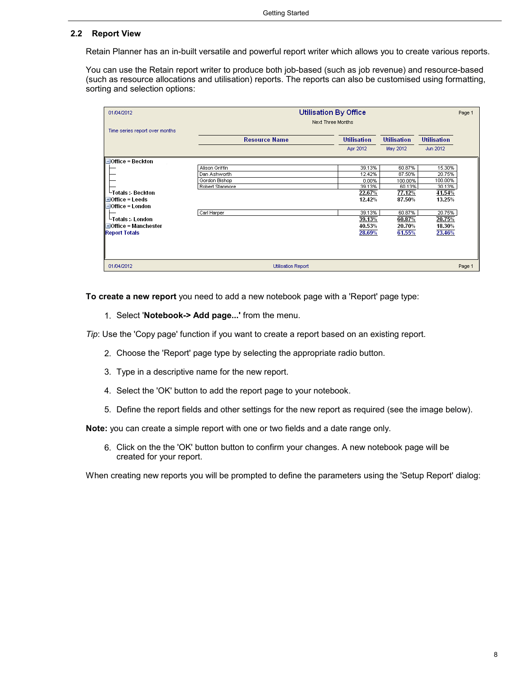### <span id="page-7-0"></span>**2.2 Report View**

Retain Planner has an in-built versatile and powerful report writer which allows you to create various reports.

You can use the Retain report writer to produce both job-based (such as job revenue) and resource-based (such as resource allocations and utilisation) reports. The reports can also be customised using formatting, sorting and selection options:

| 01/04/2012                     |                           | <b>Utilisation By Office</b> |                    |                    | Page 1 |
|--------------------------------|---------------------------|------------------------------|--------------------|--------------------|--------|
| Time series report over months |                           | Next Three Months            |                    |                    |        |
|                                | <b>Resource Name</b>      | <b>Utilisation</b>           | <b>Utilisation</b> | <b>Utilisation</b> |        |
|                                |                           | Apr 2012                     | May 2012           | Jun 2012           |        |
| $-I$ Office = Beckton          |                           |                              |                    |                    |        |
|                                | Alison Griffin            | 39.13%                       | 60.87%             | 15.30%             |        |
|                                | Dan Ashworth              | 12.42%                       | 87.50%             | 20.75%             |        |
|                                | Gordon Bishop             | 0.00%                        | 100.00%            | 100.00%            |        |
|                                | Robert Stanmore           | 39.13%                       | 60.13%             | 30.13%             |        |
| └Totals :- Beckton             |                           | 22.67%                       | 77.12%             | 41.54%             |        |
| $\pm$ Office = Leeds           |                           | 12.42%                       | 87.50%             | 13.25%             |        |
| $\Box$ Office = London         |                           |                              |                    |                    |        |
|                                | Carl Harper               | 39.13%                       | 60.87%             | 20.75%             |        |
| └Totals :- London              |                           | 39.13%                       | 60.87%             | 20.75%             |        |
| $\pm$ Office = Manchester      |                           | 40.53%                       | 20.70%             | 18.30%             |        |
| <b>Report Totals</b>           |                           | 28.69%                       | 61.55%             | 23.46%             |        |
|                                |                           |                              |                    |                    |        |
|                                |                           |                              |                    |                    |        |
| 01/04/2012                     | <b>Utilisation Report</b> |                              |                    |                    | Page 1 |

**To create a new report** you need to add a new notebook page with a 'Report' page type:

1. Select '**Notebook-> Add page...'** from the menu.

*Tip*: Use the 'Copy page' function if you want to create a report based on an existing report.

- 2. Choose the 'Report' page type by selecting the appropriate radio button.
- 3. Type in a descriptive name for the new report.
- 4. Select the 'OK' button to add the report page to your notebook.
- 5. Define the report fields and other settings for the new report as required (see the image below).

**Note:** you can create a simple report with one or two fields and a date range only.

6. Click on the the 'OK' button button to confirm your changes. A new notebook page will be created for your report.

When creating new reports you will be prompted to define the parameters using the 'Setup Report' dialog: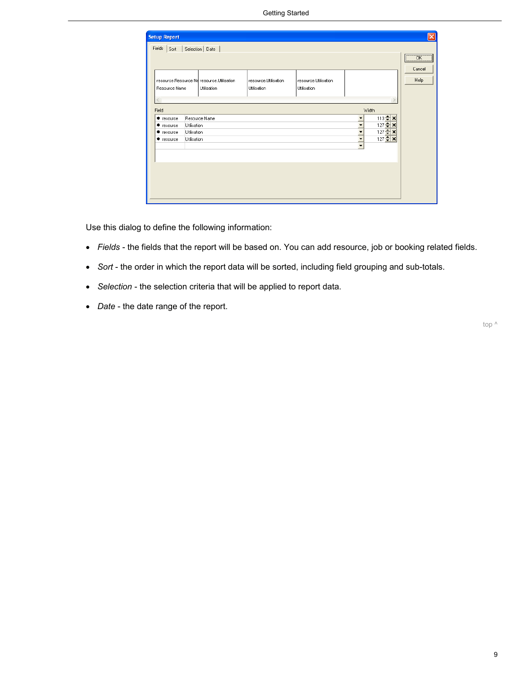| <b>Setup Report</b><br>Fields Sort                   |                                           | Selection Date                                           |                                     |                                     |                                                                                                                                                                                                       | $ \mathsf{x} $                        |
|------------------------------------------------------|-------------------------------------------|----------------------------------------------------------|-------------------------------------|-------------------------------------|-------------------------------------------------------------------------------------------------------------------------------------------------------------------------------------------------------|---------------------------------------|
|                                                      |                                           |                                                          |                                     |                                     |                                                                                                                                                                                                       | $\overline{\phantom{a}}$ ok<br>Cancel |
| Resource Name                                        |                                           | resource.Resource Na resource.Utilisation<br>Utilisation | resource.Utilisation<br>Utilisation | resource.Utilisation<br>Utilisation |                                                                                                                                                                                                       | Help                                  |
| Field                                                |                                           |                                                          |                                     |                                     | Width                                                                                                                                                                                                 |                                       |
| + resource<br>+ resource<br>+ resource<br>+ resource | Utilisation<br>Utilisation<br>Utilisation | Resource Name                                            |                                     |                                     | $113 + x$<br>$\overline{\phantom{a}}$<br>$127 \div x$<br>$\overline{\phantom{a}}$<br>$127 \div x$<br>$\overline{\phantom{a}}$<br>$127 \div x$<br>$\overline{\phantom{a}}$<br>$\overline{\phantom{0}}$ |                                       |
|                                                      |                                           |                                                          |                                     |                                     |                                                                                                                                                                                                       |                                       |
|                                                      |                                           |                                                          |                                     |                                     |                                                                                                                                                                                                       |                                       |
|                                                      |                                           |                                                          |                                     |                                     |                                                                                                                                                                                                       |                                       |

Use this dialog to define the following information:

- *Fields* the fields that the report will be based on. You can add resource, job or booking related fields.
- *Sort* the order in which the report data will be sorted, including field grouping and sub-totals.
- *Selection* the selection criteria that will be applied to report data.
- *Date* the date range of the report.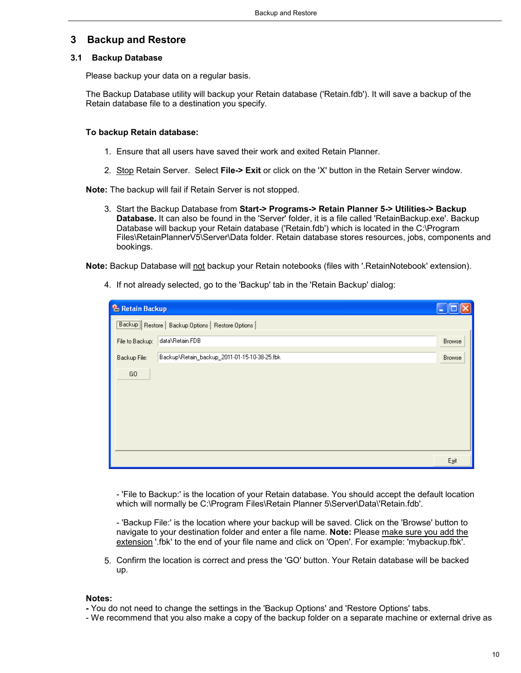### <span id="page-9-0"></span>**3 Backup and Restore**

### **3.1 Backup Database**

Please backup your data on a regular basis.

The Backup Database utility will backup your Retain database ('Retain.fdb'). It will save a backup of the Retain database file to a destination you specify.

### **To backup Retain database:**

- 1. Ensure that all users have saved their work and exited Retain Planner.
- 2. Stop Retain Server. Select **File-> Exit** or click on the 'X' button in the Retain Server window.

**Note:** The backup will fail if Retain Server is not stopped.

3. Start the Backup Database from **Start-> Programs-> Retain Planner 5-> Utilities-> Backup Database.** It can also be found in the 'Server' folder, it is a file called 'RetainBackup.exe'. Backup Database will backup your Retain database ('Retain.fdb') which is located in the C:\Program Files\RetainPlannerV5\Server\Data folder. Retain database stores resources, jobs, components and bookings.

Note: Backup Database will not backup your Retain notebooks (files with '.RetainNotebook' extension).

4. If not already selected, go to the 'Backup' tab in the 'Retain Backup' dialog:

| <b>&amp;</b> Retain Backup |                                                     |        |
|----------------------------|-----------------------------------------------------|--------|
|                            | [Backup] Restore   Backup Options   Restore Options |        |
| File to Backup:            | data\Retain.FDB                                     | Browse |
| Backup File:               | Backup\Retain_backup_2011-01-15-10-38-25.fbk        | Browse |
| GO                         |                                                     |        |
|                            |                                                     | Egit   |

- 'File to Backup:' is the location of your Retain database. You should accept the default location which will normally be C:\Program Files\Retain Planner 5\Server\Data\'Retain.fdb'.

- 'Backup File:' is the location where your backup will be saved. Click on the 'Browse' button to navigate to your destination folder and enter a file name. **Note:** Please make sure you add the extension '.fbk' to the end of your file name and click on 'Open'. For example: 'mybackup.fbk'.

5. Confirm the location is correct and press the 'GO' button. Your Retain database will be backed up.

#### **Notes:**

- You do not need to change the settings in the 'Backup Options' and 'Restore Options' tabs.
- We recommend that you also make a copy of the backup folder on a separate machine or external drive as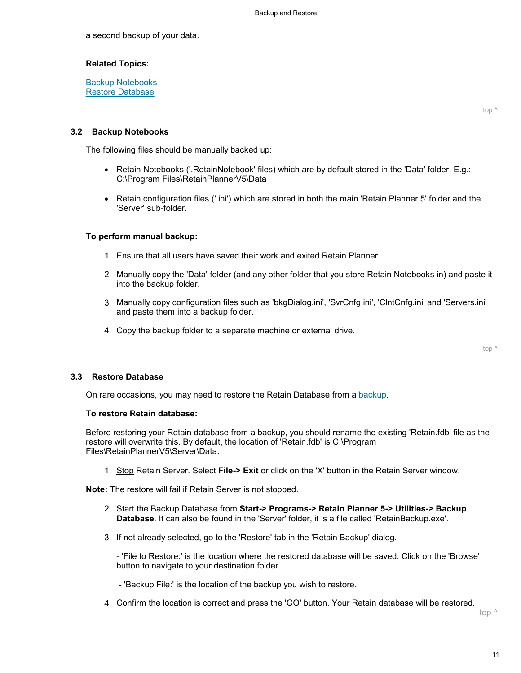a second backup of your data.

### **Related Topics:**

[Backup Notebooks](#page-10-0) [Restore Database](#page-10-1)

[top ^](#page-9-0)

### <span id="page-10-0"></span>**3.2 Backup Notebooks**

The following files should be manually backed up:

- Retain Notebooks ('.RetainNotebook' files) which are by default stored in the 'Data' folder. E.g.: C:\Program Files\RetainPlannerV5\Data
- Retain configuration files ('.ini') which are stored in both the main 'Retain Planner 5' folder and the 'Server' sub-folder.

### **To perform manual backup:**

- 1. Ensure that all users have saved their work and exited Retain Planner.
- 2. Manually copy the 'Data' folder (and any other folder that you store Retain Notebooks in) and paste it into the backup folder.
- 3. Manually copy configuration files such as 'bkgDialog.ini', 'SvrCnfg.ini', 'ClntCnfg.ini' and 'Servers.ini' and paste them into a backup folder.
- 4. Copy the backup folder to a separate machine or external drive.

[top ^](#page-10-0)

### <span id="page-10-1"></span>**3.3 Restore Database**

On rare occasions, you may need to restore the Retain Database from a [backup](#page-9-0).

#### **To restore Retain database:**

Before restoring your Retain database from a backup, you should rename the existing 'Retain.fdb' file as the restore will overwrite this. By default, the location of 'Retain.fdb' is C:\Program Files\RetainPlannerV5\Server\Data.

1. Stop Retain Server. Select **File-> Exit** or click on the 'X' button in the Retain Server window.

**Note:** The restore will fail if Retain Server is not stopped.

- 2. Start the Backup Database from **Start-> Programs-> Retain Planner 5-> Utilities-> Backup Database**. It can also be found in the 'Server' folder, it is a file called 'RetainBackup.exe'.
- 3. If not already selected, go to the 'Restore' tab in the 'Retain Backup' dialog.

- 'File to Restore:' is the location where the restored database will be saved. Click on the 'Browse' button to navigate to your destination folder.

- 'Backup File:' is the location of the backup you wish to restore.

4. Confirm the location is correct and press the 'GO' button. Your Retain database will be restored.

[top ^](#page-10-1)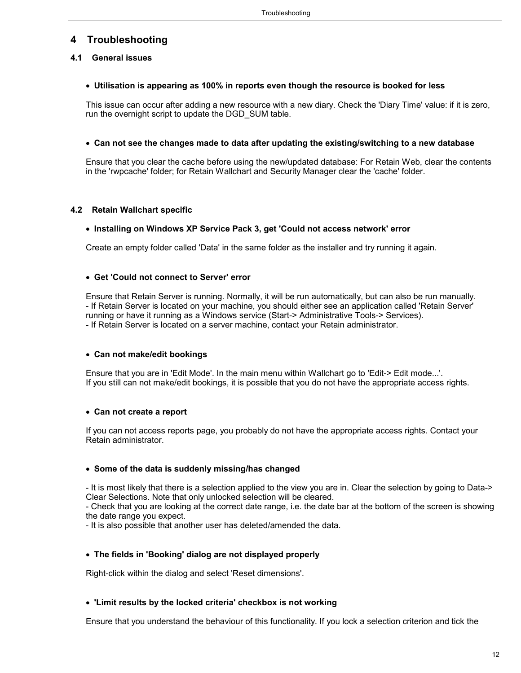### <span id="page-11-0"></span>**4 Troubleshooting**

### **4.1 General issues**

### **Utilisation is appearing as 100% in reports even though the resource is booked for less**

This issue can occur after adding a new resource with a new diary. Check the 'Diary Time' value: if it is zero, run the overnight script to update the DGD\_SUM table.

### **Can not see the changes made to data after updating the existing/switching to a new database**

Ensure that you clear the cache before using the new/updated database: For Retain Web, clear the contents in the 'rwpcache' folder; for Retain Wallchart and Security Manager clear the 'cache' folder.

### <span id="page-11-1"></span>**4.2 Retain Wallchart specific**

### **Installing on Windows XP Service Pack 3, get 'Could not access network' error**

Create an empty folder called 'Data' in the same folder as the installer and try running it again.

### **Get 'Could not connect to Server' error**

Ensure that Retain Server is running. Normally, it will be run automatically, but can also be run manually. - If Retain Server is located on your machine, you should either see an application called 'Retain Server' running or have it running as a Windows service (Start-> Administrative Tools-> Services). - If Retain Server is located on a server machine, contact your Retain administrator.

### **Can not make/edit bookings**

Ensure that you are in 'Edit Mode'. In the main menu within Wallchart go to 'Edit-> Edit mode...'. If you still can not make/edit bookings, it is possible that you do not have the appropriate access rights.

### **Can not create a report**

If you can not access reports page, you probably do not have the appropriate access rights. Contact your Retain administrator.

### **Some of the data is suddenly missing/has changed**

- It is most likely that there is a selection applied to the view you are in. Clear the selection by going to Data-> Clear Selections. Note that only unlocked selection will be cleared.

- Check that you are looking at the correct date range, i.e. the date bar at the bottom of the screen is showing the date range you expect.

- It is also possible that another user has deleted/amended the data.

### **The fields in 'Booking' dialog are not displayed properly**

Right-click within the dialog and select 'Reset dimensions'.

### **'Limit results by the locked criteria' checkbox is not working**

Ensure that you understand the behaviour of this functionality. If you lock a selection criterion and tick the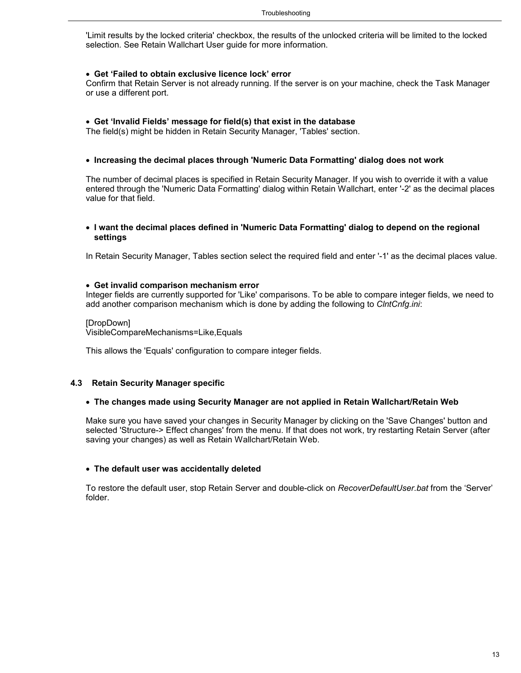'Limit results by the locked criteria' checkbox, the results of the unlocked criteria will be limited to the locked selection. See Retain Wallchart User guide for more information.

### **Get 'Failed to obtain exclusive licence lock' error**

Confirm that Retain Server is not already running. If the server is on your machine, check the Task Manager or use a different port.

### **Get 'Invalid Fields' message for field(s) that exist in the database**

The field(s) might be hidden in Retain Security Manager, 'Tables' section.

### **Increasing the decimal places through 'Numeric Data Formatting' dialog does not work**

The number of decimal places is specified in Retain Security Manager. If you wish to override it with a value entered through the 'Numeric Data Formatting' dialog within Retain Wallchart, enter '-2' as the decimal places value for that field.

### **I want the decimal places defined in 'Numeric Data Formatting' dialog to depend on the regional settings**

In Retain Security Manager, Tables section select the required field and enter '-1' as the decimal places value.

### **Get invalid comparison mechanism error**

Integer fields are currently supported for 'Like' comparisons. To be able to compare integer fields, we need to add another comparison mechanism which is done by adding the following to *ClntCnfg.ini*:

### [DropDown]

VisibleCompareMechanisms=Like,Equals

This allows the 'Equals' configuration to compare integer fields.

### <span id="page-12-0"></span>**4.3 Retain Security Manager specific**

### **The changes made using Security Manager are not applied in Retain Wallchart/Retain Web**

Make sure you have saved your changes in Security Manager by clicking on the 'Save Changes' button and selected 'Structure-> Effect changes' from the menu. If that does not work, try restarting Retain Server (after saving your changes) as well as Retain Wallchart/Retain Web.

#### **The default user was accidentally deleted**

To restore the default user, stop Retain Server and double-click on *RecoverDefaultUser.bat* from the 'Server' folder.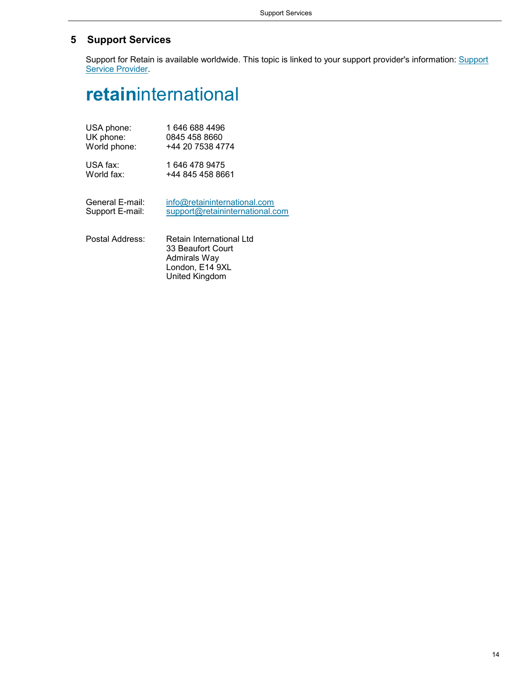### <span id="page-13-0"></span>**5 Support Services**

Support for Retain is available worldwide. This topic is linked to your support provider's information: Support Service Provider.

# **retain**international

| USA phone:      | 1 646 688 4496                  |
|-----------------|---------------------------------|
| UK phone:       | 0845 458 8660                   |
| World phone:    | +44 20 7538 4774                |
| USA fax:        | 1 646 478 9475                  |
| World fax:      | +44 845 458 8661                |
| General E-mail: | info@retaininternational.com    |
| Support E-mail: | support@retaininternational.com |

Postal Address: Retain International Ltd 33 Beaufort Court Admirals Way London, E14 9XL United Kingdom